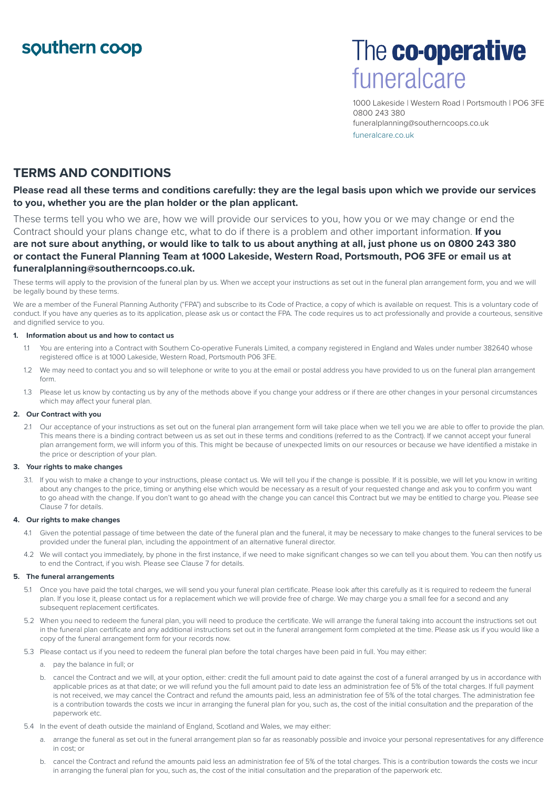## southern coop

# The co-operative funeralcare

1000 Lakeside | Western Road | Portsmouth | PO6 3FE 0800 243 380 funeralplanning@southerncoops.co.uk funeralcare.co.uk

### **TERMS AND CONDITIONS**

**Please read all these terms and conditions carefully: they are the legal basis upon which we provide our services to you, whether you are the plan holder or the plan applicant.**

These terms tell you who we are, how we will provide our services to you, how you or we may change or end the Contract should your plans change etc, what to do if there is a problem and other important information. **If you are not sure about anything, or would like to talk to us about anything at all, just phone us on 0800 243 380 or contact the Funeral Planning Team at 1000 Lakeside, Western Road, Portsmouth, PO6 3FE or email us at funeralplanning@southerncoops.co.uk.**

These terms will apply to the provision of the funeral plan by us. When we accept your instructions as set out in the funeral plan arrangement form, you and we will be legally bound by these terms.

We are a member of the Funeral Planning Authority ("FPA") and subscribe to its Code of Practice, a copy of which is available on request. This is a voluntary code of conduct. If you have any queries as to its application, please ask us or contact the FPA. The code requires us to act professionally and provide a courteous, sensitive and dignified service to you.

#### **1. Information about us and how to contact us**

- 1.1 You are entering into a Contract with Southern Co-operative Funerals Limited, a company registered in England and Wales under number 382640 whose registered office is at 1000 Lakeside, Western Road, Portsmouth P06 3FE.
- 1.2 We may need to contact you and so will telephone or write to you at the email or postal address you have provided to us on the funeral plan arrangement form.
- 1.3 Please let us know by contacting us by any of the methods above if you change your address or if there are other changes in your personal circumstances which may affect your funeral plan.

#### **2. Our Contract with you**

2.1 Our acceptance of your instructions as set out on the funeral plan arrangement form will take place when we tell you we are able to offer to provide the plan. This means there is a binding contract between us as set out in these terms and conditions (referred to as the Contract). If we cannot accept your funeral plan arrangement form, we will inform you of this. This might be because of unexpected limits on our resources or because we have identified a mistake in the price or description of your plan.

#### **3. Your rights to make changes**

3.1. If you wish to make a change to your instructions, please contact us. We will tell you if the change is possible. If it is possible, we will let you know in writing about any changes to the price, timing or anything else which would be necessary as a result of your requested change and ask you to confirm you want to go ahead with the change. If you don't want to go ahead with the change you can cancel this Contract but we may be entitled to charge you. Please see Clause 7 for details.

#### **4. Our rights to make changes**

- 4.1 Given the potential passage of time between the date of the funeral plan and the funeral, it may be necessary to make changes to the funeral services to be provided under the funeral plan, including the appointment of an alternative funeral director.
- 4.2 We will contact you immediately, by phone in the first instance, if we need to make significant changes so we can tell you about them. You can then notify us to end the Contract, if you wish. Please see Clause 7 for details.

#### **5. The funeral arrangements**

- 5.1 Once you have paid the total charges, we will send you your funeral plan certificate. Please look after this carefully as it is required to redeem the funeral plan. If you lose it, please contact us for a replacement which we will provide free of charge. We may charge you a small fee for a second and any subsequent replacement certificates.
- 5.2 When you need to redeem the funeral plan, you will need to produce the certificate. We will arrange the funeral taking into account the instructions set out in the funeral plan certificate and any additional instructions set out in the funeral arrangement form completed at the time. Please ask us if you would like a copy of the funeral arrangement form for your records now.
- 5.3 Please contact us if you need to redeem the funeral plan before the total charges have been paid in full. You may either:
	- a. pay the balance in full; or
	- b. cancel the Contract and we will, at your option, either: credit the full amount paid to date against the cost of a funeral arranged by us in accordance with applicable prices as at that date; or we will refund you the full amount paid to date less an administration fee of 5% of the total charges. If full payment is not received, we may cancel the Contract and refund the amounts paid, less an administration fee of 5% of the total charges. The administration fee is a contribution towards the costs we incur in arranging the funeral plan for you, such as, the cost of the initial consultation and the preparation of the paperwork etc.
- 5.4 In the event of death outside the mainland of England, Scotland and Wales, we may either:
	- a. arrange the funeral as set out in the funeral arrangement plan so far as reasonably possible and invoice your personal representatives for any difference in cost; or
	- b. cancel the Contract and refund the amounts paid less an administration fee of 5% of the total charges. This is a contribution towards the costs we incur in arranging the funeral plan for you, such as, the cost of the initial consultation and the preparation of the paperwork etc.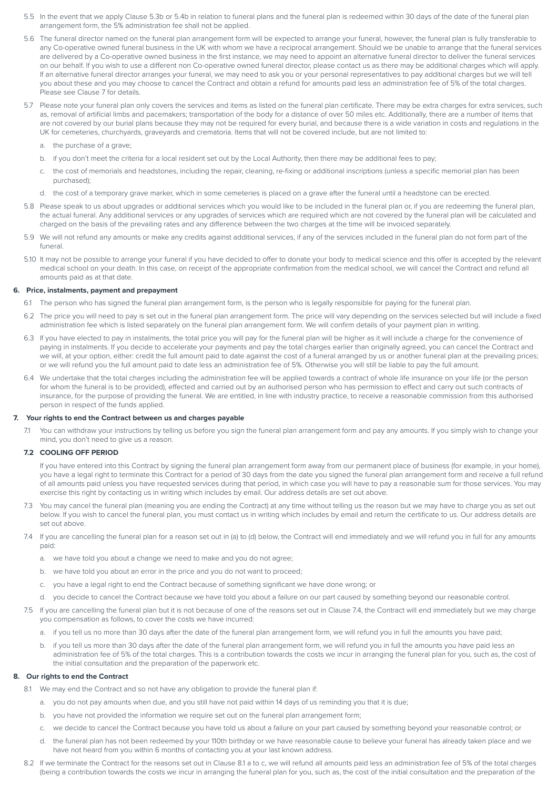- 5.5 In the event that we apply Clause 5.3b or 5.4b in relation to funeral plans and the funeral plan is redeemed within 30 days of the date of the funeral plan arrangement form, the 5% administration fee shall not be applied.
- 5.6 The funeral director named on the funeral plan arrangement form will be expected to arrange your funeral, however, the funeral plan is fully transferable to any Co-operative owned funeral business in the UK with whom we have a reciprocal arrangement. Should we be unable to arrange that the funeral services are delivered by a Co-operative owned business in the first instance, we may need to appoint an alternative funeral director to deliver the funeral services on our behalf. If you wish to use a different non Co-operative owned funeral director, please contact us as there may be additional charges which will apply. If an alternative funeral director arranges your funeral, we may need to ask you or your personal representatives to pay additional charges but we will tell you about these and you may choose to cancel the Contract and obtain a refund for amounts paid less an administration fee of 5% of the total charges. Please see Clause 7 for details.
- 5.7 Please note your funeral plan only covers the services and items as listed on the funeral plan certificate. There may be extra charges for extra services, such as, removal of artificial limbs and pacemakers; transportation of the body for a distance of over 50 miles etc. Additionally, there are a number of items that are not covered by our burial plans because they may not be required for every burial, and because there is a wide variation in costs and regulations in the UK for cemeteries, churchyards, graveyards and crematoria. Items that will not be covered include, but are not limited to:
	- a. the purchase of a grave;
	- b. if you don't meet the criteria for a local resident set out by the Local Authority, then there may be additional fees to pay;
	- c. the cost of memorials and headstones, including the repair, cleaning, re-fixing or additional inscriptions (unless a specific memorial plan has been purchased);
	- d. the cost of a temporary grave marker, which in some cemeteries is placed on a grave after the funeral until a headstone can be erected.
- 5.8 Please speak to us about upgrades or additional services which you would like to be included in the funeral plan or, if you are redeeming the funeral plan, the actual funeral. Any additional services or any upgrades of services which are required which are not covered by the funeral plan will be calculated and charged on the basis of the prevailing rates and any difference between the two charges at the time will be invoiced separately.
- 5.9 We will not refund any amounts or make any credits against additional services, if any of the services included in the funeral plan do not form part of the funeral.
- 5.10 It may not be possible to arrange your funeral if you have decided to offer to donate your body to medical science and this offer is accepted by the relevant medical school on your death. In this case, on receipt of the appropriate confirmation from the medical school, we will cancel the Contract and refund all amounts paid as at that date.

#### **6. Price, instalments, payment and prepayment**

- 6.1 The person who has signed the funeral plan arrangement form, is the person who is legally responsible for paying for the funeral plan.
- 6.2 The price you will need to pay is set out in the funeral plan arrangement form. The price will vary depending on the services selected but will include a fixed administration fee which is listed separately on the funeral plan arrangement form. We will confirm details of your payment plan in writing.
- 6.3 If you have elected to pay in instalments, the total price you will pay for the funeral plan will be higher as it will include a charge for the convenience of paying in instalments. If you decide to accelerate your payments and pay the total charges earlier than originally agreed, you can cancel the Contract and we will, at your option, either: credit the full amount paid to date against the cost of a funeral arranged by us or another funeral plan at the prevailing prices; or we will refund you the full amount paid to date less an administration fee of 5%. Otherwise you will still be liable to pay the full amount.
- 6.4 We undertake that the total charges including the administration fee will be applied towards a contract of whole life insurance on your life (or the person for whom the funeral is to be provided), effected and carried out by an authorised person who has permission to effect and carry out such contracts of insurance, for the purpose of providing the funeral. We are entitled, in line with industry practice, to receive a reasonable commission from this authorised person in respect of the funds applied.

#### **7. Your rights to end the Contract between us and charges payable**

7.1 You can withdraw your instructions by telling us before you sign the funeral plan arrangement form and pay any amounts. If you simply wish to change your mind, you don't need to give us a reason.

#### **7.2 COOLING OFF PERIOD**

If you have entered into this Contract by signing the funeral plan arrangement form away from our permanent place of business (for example, in your home), you have a legal right to terminate this Contract for a period of 30 days from the date you signed the funeral plan arrangement form and receive a full refund of all amounts paid unless you have requested services during that period, in which case you will have to pay a reasonable sum for those services. You may exercise this right by contacting us in writing which includes by email. Our address details are set out above.

- 7.3 You may cancel the funeral plan (meaning you are ending the Contract) at any time without telling us the reason but we may have to charge you as set out below. If you wish to cancel the funeral plan, you must contact us in writing which includes by email and return the certificate to us. Our address details are set out above.
- 7.4 If you are cancelling the funeral plan for a reason set out in (a) to (d) below, the Contract will end immediately and we will refund you in full for any amounts paid:
	- a. we have told you about a change we need to make and you do not agree;
	- b. we have told you about an error in the price and you do not want to proceed;
	- c. you have a legal right to end the Contract because of something significant we have done wrong; or
	- d. you decide to cancel the Contract because we have told you about a failure on our part caused by something beyond our reasonable control.
- 7.5 If you are cancelling the funeral plan but it is not because of one of the reasons set out in Clause 7.4, the Contract will end immediately but we may charge you compensation as follows, to cover the costs we have incurred:
	- a. if you tell us no more than 30 days after the date of the funeral plan arrangement form, we will refund you in full the amounts you have paid;
	- b. if you tell us more than 30 days after the date of the funeral plan arrangement form, we will refund you in full the amounts you have paid less an administration fee of 5% of the total charges. This is a contribution towards the costs we incur in arranging the funeral plan for you, such as, the cost of the initial consultation and the preparation of the paperwork etc.

#### **8. Our rights to end the Contract**

- 8.1 We may end the Contract and so not have any obligation to provide the funeral plan if:
	- a. you do not pay amounts when due, and you still have not paid within 14 days of us reminding you that it is due;
	- b. you have not provided the information we require set out on the funeral plan arrangement form;
	- c. we decide to cancel the Contract because you have told us about a failure on your part caused by something beyond your reasonable control; or
	- d. the funeral plan has not been redeemed by your 110th birthday or we have reasonable cause to believe your funeral has already taken place and we have not heard from you within 6 months of contacting you at your last known address.
- 8.2 If we terminate the Contract for the reasons set out in Clause 8.1 a to c, we will refund all amounts paid less an administration fee of 5% of the total charges (being a contribution towards the costs we incur in arranging the funeral plan for you, such as, the cost of the initial consultation and the preparation of the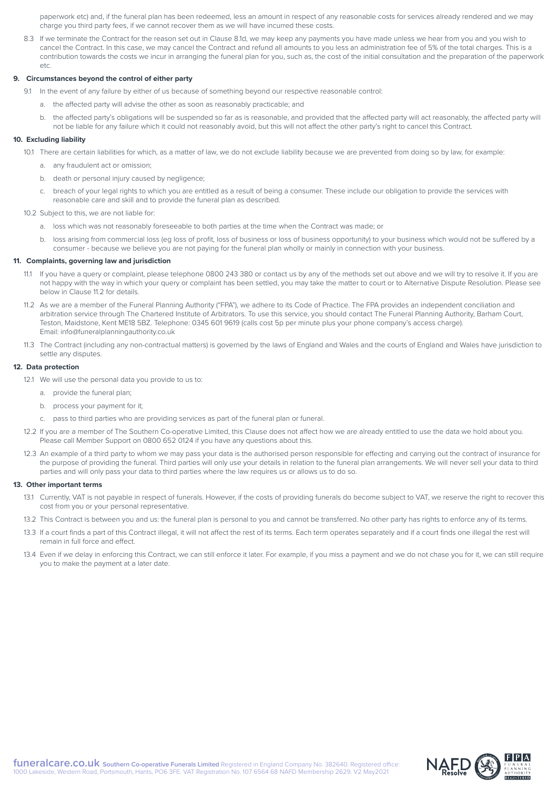paperwork etc) and, if the funeral plan has been redeemed, less an amount in respect of any reasonable costs for services already rendered and we may charge you third party fees, if we cannot recover them as we will have incurred these costs.

8.3 If we terminate the Contract for the reason set out in Clause 8.1d, we may keep any payments you have made unless we hear from you and you wish to cancel the Contract. In this case, we may cancel the Contract and refund all amounts to you less an administration fee of 5% of the total charges. This is a contribution towards the costs we incur in arranging the funeral plan for you, such as, the cost of the initial consultation and the preparation of the paperwork etc.

#### **9. Circumstances beyond the control of either party**

- 9.1 In the event of any failure by either of us because of something beyond our respective reasonable control:
	- a. the affected party will advise the other as soon as reasonably practicable; and
	- b. the affected party's obligations will be suspended so far as is reasonable, and provided that the affected party will act reasonably, the affected party will not be liable for any failure which it could not reasonably avoid, but this will not affect the other party's right to cancel this Contract.

#### **10. Excluding liability**

- 10.1 There are certain liabilities for which, as a matter of law, we do not exclude liability because we are prevented from doing so by law, for example:
	- a. any fraudulent act or omission;
	- b. death or personal injury caused by negligence;
	- c. breach of your legal rights to which you are entitled as a result of being a consumer. These include our obligation to provide the services with reasonable care and skill and to provide the funeral plan as described.
- 10.2 Subject to this, we are not liable for:
	- a. loss which was not reasonably foreseeable to both parties at the time when the Contract was made; or
	- b. loss arising from commercial loss (eg loss of profit, loss of business or loss of business opportunity) to your business which would not be suffered by a consumer - because we believe you are not paying for the funeral plan wholly or mainly in connection with your business.

#### **11. Complaints, governing law and jurisdiction**

- 11.1 If you have a query or complaint, please telephone 0800 243 380 or contact us by any of the methods set out above and we will try to resolve it. If you are not happy with the way in which your query or complaint has been settled, you may take the matter to court or to Alternative Dispute Resolution. Please see below in Clause 11.2 for details.
- 11.2 As we are a member of the Funeral Planning Authority ("FPA"), we adhere to its Code of Practice. The FPA provides an independent conciliation and arbitration service through The Chartered Institute of Arbitrators. To use this service, you should contact The Funeral Planning Authority, Barham Court, Teston, Maidstone, Kent ME18 5BZ. Telephone: 0345 601 9619 (calls cost 5p per minute plus your phone company's access charge). Email: info@funeralplanningauthority.co.uk
- 11.3 The Contract (including any non-contractual matters) is governed by the laws of England and Wales and the courts of England and Wales have jurisdiction to settle any disputes.

#### **12. Data protection**

- 12.1 We will use the personal data you provide to us to:
	- a provide the funeral plan:
	- b. process your payment for it;
	- c. pass to third parties who are providing services as part of the funeral plan or funeral.
- 12.2 If you are a member of The Southern Co-operative Limited, this Clause does not affect how we are already entitled to use the data we hold about you. Please call Member Support on 0800 652 0124 if you have any questions about this.
- 12.3 An example of a third party to whom we may pass your data is the authorised person responsible for effecting and carrying out the contract of insurance for the purpose of providing the funeral. Third parties will only use your details in relation to the funeral plan arrangements. We will never sell your data to third parties and will only pass your data to third parties where the law requires us or allows us to do so.

#### **13. Other important terms**

- 13.1 Currently, VAT is not payable in respect of funerals. However, if the costs of providing funerals do become subject to VAT, we reserve the right to recover this cost from you or your personal representative.
- 13.2 This Contract is between you and us: the funeral plan is personal to you and cannot be transferred. No other party has rights to enforce any of its terms.
- 13.3 If a court finds a part of this Contract illegal, it will not affect the rest of its terms. Each term operates separately and if a court finds one illegal the rest will remain in full force and effect.
- 13.4 Even if we delay in enforcing this Contract, we can still enforce it later. For example, if you miss a payment and we do not chase you for it, we can still require you to make the payment at a later date.